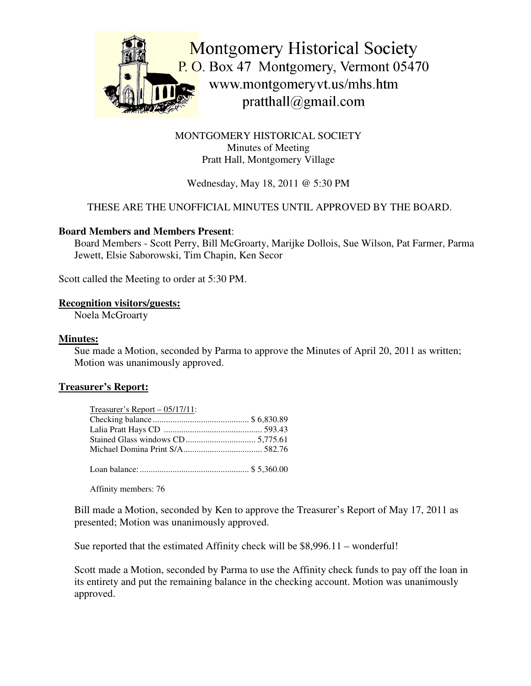

MONTGOMERY HISTORICAL SOCIETY Minutes of Meeting Pratt Hall, Montgomery Village

# Wednesday, May 18, 2011 @ 5:30 PM

# THESE ARE THE UNOFFICIAL MINUTES UNTIL APPROVED BY THE BOARD.

#### **Board Members and Members Present**:

Board Members - Scott Perry, Bill McGroarty, Marijke Dollois, Sue Wilson, Pat Farmer, Parma Jewett, Elsie Saborowski, Tim Chapin, Ken Secor

Scott called the Meeting to order at 5:30 PM.

#### **Recognition visitors/guests:**

Noela McGroarty

#### **Minutes:**

Sue made a Motion, seconded by Parma to approve the Minutes of April 20, 2011 as written; Motion was unanimously approved.

#### **Treasurer's Report:**

| Treasurer's Report $-05/17/11$ : |  |
|----------------------------------|--|
|                                  |  |
|                                  |  |
|                                  |  |
|                                  |  |
|                                  |  |

Loan balance:.................................................. \$ 5,360.00

Affinity members: 76

Bill made a Motion, seconded by Ken to approve the Treasurer's Report of May 17, 2011 as presented; Motion was unanimously approved.

Sue reported that the estimated Affinity check will be \$8,996.11 – wonderful!

Scott made a Motion, seconded by Parma to use the Affinity check funds to pay off the loan in its entirety and put the remaining balance in the checking account. Motion was unanimously approved.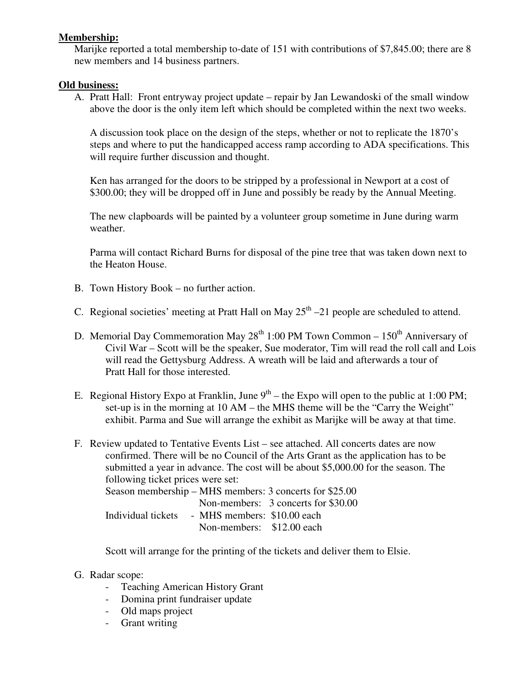## **Membership:**

Marijke reported a total membership to-date of 151 with contributions of \$7,845.00; there are 8 new members and 14 business partners.

## **Old business:**

A. Pratt Hall: Front entryway project update – repair by Jan Lewandoski of the small window above the door is the only item left which should be completed within the next two weeks.

A discussion took place on the design of the steps, whether or not to replicate the 1870's steps and where to put the handicapped access ramp according to ADA specifications. This will require further discussion and thought.

Ken has arranged for the doors to be stripped by a professional in Newport at a cost of \$300.00; they will be dropped off in June and possibly be ready by the Annual Meeting.

The new clapboards will be painted by a volunteer group sometime in June during warm weather.

Parma will contact Richard Burns for disposal of the pine tree that was taken down next to the Heaton House.

- B. Town History Book no further action.
- C. Regional societies' meeting at Pratt Hall on May  $25<sup>th</sup> 21$  people are scheduled to attend.
- D. Memorial Day Commemoration May 28<sup>th</sup> 1:00 PM Town Common 150<sup>th</sup> Anniversary of Civil War – Scott will be the speaker, Sue moderator, Tim will read the roll call and Lois will read the Gettysburg Address. A wreath will be laid and afterwards a tour of Pratt Hall for those interested.
- E. Regional History Expo at Franklin, June  $9<sup>th</sup>$  the Expo will open to the public at 1:00 PM; set-up is in the morning at 10 AM – the MHS theme will be the "Carry the Weight" exhibit. Parma and Sue will arrange the exhibit as Marijke will be away at that time.
- F. Review updated to Tentative Events List see attached. All concerts dates are now confirmed. There will be no Council of the Arts Grant as the application has to be submitted a year in advance. The cost will be about \$5,000.00 for the season. The following ticket prices were set:

Season membership – MHS members: 3 concerts for \$25.00 Non-members: 3 concerts for \$30.00 Individual tickets - MHS members: \$10.00 each Non-members: \$12.00 each

Scott will arrange for the printing of the tickets and deliver them to Elsie.

- G. Radar scope:
	- Teaching American History Grant
	- Domina print fundraiser update
	- Old maps project
	- Grant writing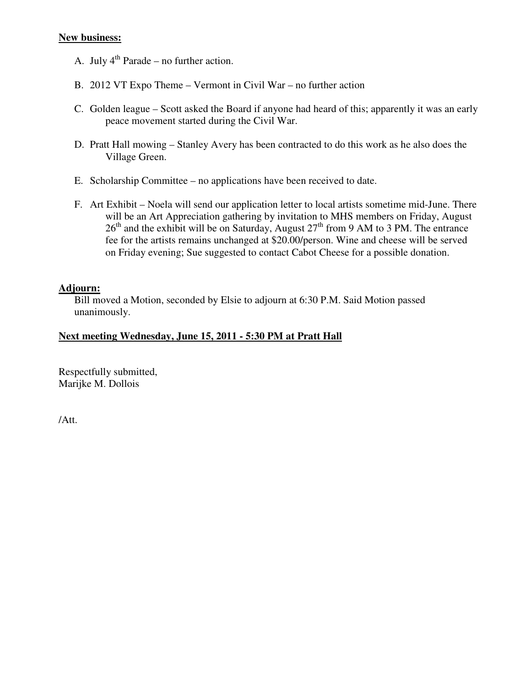#### **New business:**

- A. July  $4^{th}$  Parade no further action.
- B. 2012 VT Expo Theme Vermont in Civil War no further action
- C. Golden league Scott asked the Board if anyone had heard of this; apparently it was an early peace movement started during the Civil War.
- D. Pratt Hall mowing Stanley Avery has been contracted to do this work as he also does the Village Green.
- E. Scholarship Committee no applications have been received to date.
- F. Art Exhibit Noela will send our application letter to local artists sometime mid-June. There will be an Art Appreciation gathering by invitation to MHS members on Friday, August  $26<sup>th</sup>$  and the exhibit will be on Saturday, August  $27<sup>th</sup>$  from 9 AM to 3 PM. The entrance fee for the artists remains unchanged at \$20.00/person. Wine and cheese will be served on Friday evening; Sue suggested to contact Cabot Cheese for a possible donation.

## **Adjourn:**

Bill moved a Motion, seconded by Elsie to adjourn at 6:30 P.M. Said Motion passed unanimously.

#### **Next meeting Wednesday, June 15, 2011 - 5:30 PM at Pratt Hall**

Respectfully submitted, Marijke M. Dollois

/Att.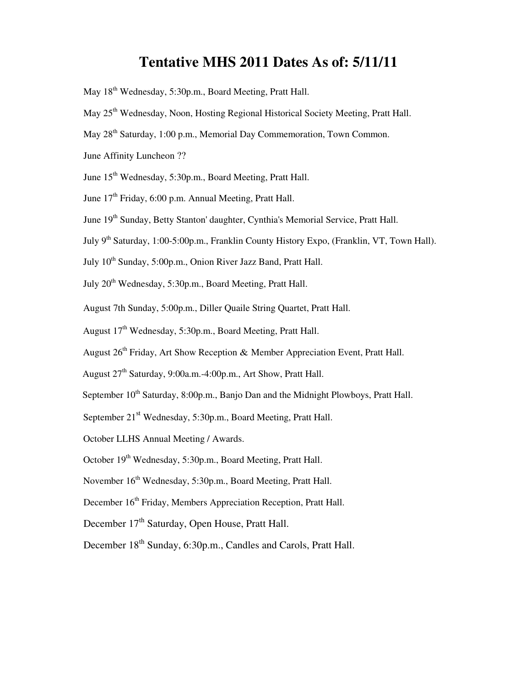# **Tentative MHS 2011 Dates As of: 5/11/11**

- May 18<sup>th</sup> Wednesday, 5:30p.m., Board Meeting, Pratt Hall.
- May 25<sup>th</sup> Wednesday, Noon, Hosting Regional Historical Society Meeting, Pratt Hall.
- May 28<sup>th</sup> Saturday, 1:00 p.m., Memorial Day Commemoration, Town Common.
- June Affinity Luncheon ??
- June 15<sup>th</sup> Wednesday, 5:30p.m., Board Meeting, Pratt Hall.
- June 17<sup>th</sup> Friday, 6:00 p.m. Annual Meeting, Pratt Hall.
- June 19<sup>th</sup> Sunday, Betty Stanton' daughter, Cynthia's Memorial Service, Pratt Hall.
- July 9<sup>th</sup> Saturday, 1:00-5:00p.m., Franklin County History Expo, (Franklin, VT, Town Hall).
- July 10<sup>th</sup> Sunday, 5:00p.m., Onion River Jazz Band, Pratt Hall.
- July 20<sup>th</sup> Wednesday, 5:30p.m., Board Meeting, Pratt Hall.
- August 7th Sunday, 5:00p.m., Diller Quaile String Quartet, Pratt Hall.
- August 17<sup>th</sup> Wednesday, 5:30p.m., Board Meeting, Pratt Hall.
- August 26<sup>th</sup> Friday, Art Show Reception & Member Appreciation Event, Pratt Hall.
- August 27<sup>th</sup> Saturday, 9:00a.m.-4:00p.m., Art Show, Pratt Hall.
- September 10<sup>th</sup> Saturday, 8:00p.m., Banjo Dan and the Midnight Plowboys, Pratt Hall.
- September 21<sup>st</sup> Wednesday, 5:30p.m., Board Meeting, Pratt Hall.
- October LLHS Annual Meeting / Awards.
- October 19<sup>th</sup> Wednesday, 5:30p.m., Board Meeting, Pratt Hall.
- November 16<sup>th</sup> Wednesday, 5:30p.m., Board Meeting, Pratt Hall.
- December 16<sup>th</sup> Friday, Members Appreciation Reception, Pratt Hall.
- December 17<sup>th</sup> Saturday, Open House, Pratt Hall.
- December 18<sup>th</sup> Sunday, 6:30p.m., Candles and Carols, Pratt Hall.